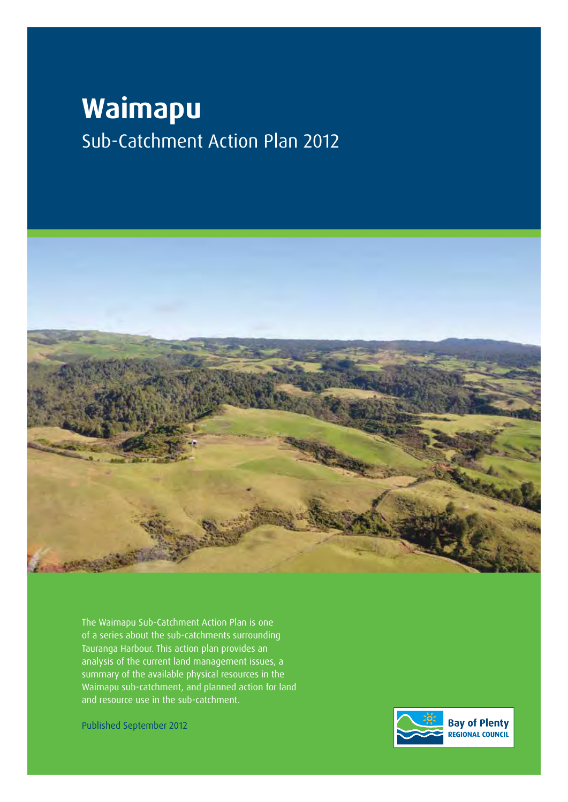# **Waimapu** Sub-Catchment Action Plan 2012



The Waimapu Sub-Catchment Action Plan is one of a series about the sub-catchments surrounding Tauranga Harbour. This action plan provides an analysis of the current land management issues, a summary of the available physical resources in the Waimapu sub-catchment, and planned action for land and resource use in the sub-catchment.

Published September 2012

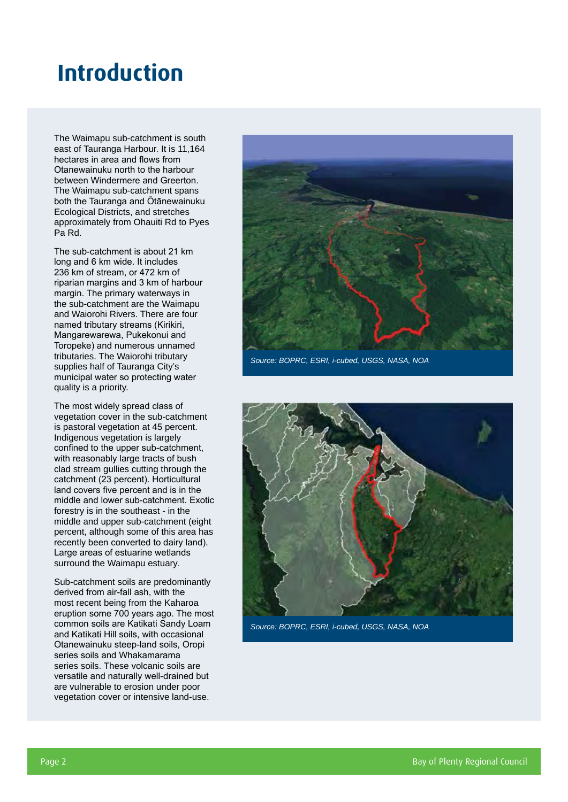## **Introduction**

The Waimapu sub-catchment is south east of Tauranga Harbour. It is 11,164 hectares in area and flows from Otanewainuku north to the harbour between Windermere and Greerton. The Waimapu sub-catchment spans both the Tauranga and Ōtānewainuku Ecological Districts, and stretches approximately from Ohauiti Rd to Pyes Pa Rd.

The sub-catchment is about 21 km long and 6 km wide. It includes 236 km of stream, or 472 km of riparian margins and 3 km of harbour margin. The primary waterways in the sub-catchment are the Waimapu and Waiorohi Rivers. There are four named tributary streams (Kirikiri, Mangarewarewa, Pukekonui and Toropeke) and numerous unnamed tributaries. The Waiorohi tributary supplies half of Tauranga City's municipal water so protecting water quality is a priority.

The most widely spread class of vegetation cover in the sub-catchment is pastoral vegetation at 45 percent. Indigenous vegetation is largely confined to the upper sub-catchment, with reasonably large tracts of bush clad stream gullies cutting through the catchment (23 percent). Horticultural land covers five percent and is in the middle and lower sub-catchment. Exotic forestry is in the southeast - in the middle and upper sub-catchment (eight percent, although some of this area has recently been converted to dairy land). Large areas of estuarine wetlands surround the Waimapu estuary.

Sub-catchment soils are predominantly derived from air-fall ash, with the most recent being from the Kaharoa eruption some 700 years ago. The most common soils are Katikati Sandy Loam and Katikati Hill soils, with occasional Otanewainuku steep-land soils, Oropi series soils and Whakamarama series soils. These volcanic soils are versatile and naturally well-drained but are vulnerable to erosion under poor vegetation cover or intensive land-use.



*Source: BOPRC, ESRI, i-cubed, USGS, NASA, NOA*



*Source: BOPRC, ESRI, i-cubed, USGS, NASA, NOA*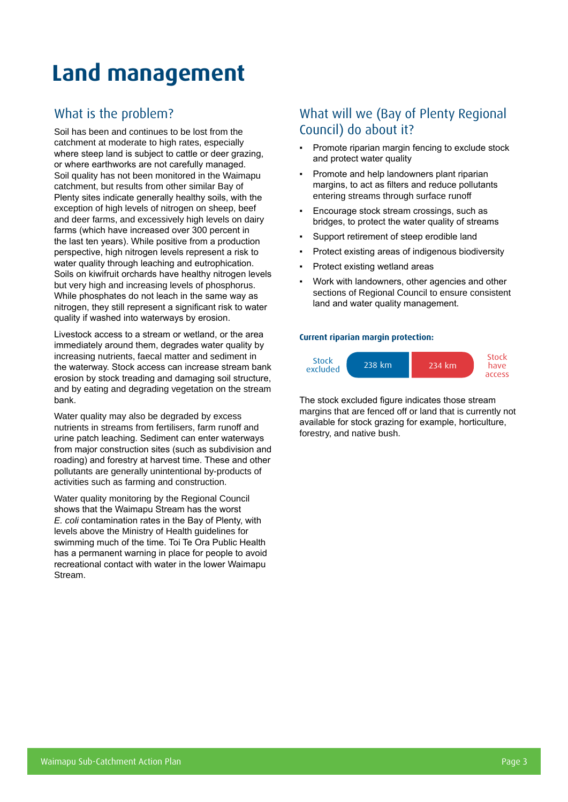## **Land management**

## What is the problem?

Soil has been and continues to be lost from the catchment at moderate to high rates, especially where steep land is subject to cattle or deer grazing, or where earthworks are not carefully managed. Soil quality has not been monitored in the Waimapu catchment, but results from other similar Bay of Plenty sites indicate generally healthy soils, with the exception of high levels of nitrogen on sheep, beef and deer farms, and excessively high levels on dairy farms (which have increased over 300 percent in the last ten years). While positive from a production perspective, high nitrogen levels represent a risk to water quality through leaching and eutrophication. Soils on kiwifruit orchards have healthy nitrogen levels but very high and increasing levels of phosphorus. While phosphates do not leach in the same way as nitrogen, they still represent a significant risk to water quality if washed into waterways by erosion.

Livestock access to a stream or wetland, or the area immediately around them, degrades water quality by increasing nutrients, faecal matter and sediment in the waterway. Stock access can increase stream bank erosion by stock treading and damaging soil structure, and by eating and degrading vegetation on the stream bank.

Water quality may also be degraded by excess nutrients in streams from fertilisers, farm runoff and urine patch leaching. Sediment can enter waterways from major construction sites (such as subdivision and roading) and forestry at harvest time. These and other pollutants are generally unintentional by-products of activities such as farming and construction.

Water quality monitoring by the Regional Council shows that the Waimapu Stream has the worst *E. coli* contamination rates in the Bay of Plenty, with levels above the Ministry of Health guidelines for swimming much of the time. Toi Te Ora Public Health has a permanent warning in place for people to avoid recreational contact with water in the lower Waimapu Stream.

### What will we (Bay of Plenty Regional Council) do about it?

- Promote riparian margin fencing to exclude stock and protect water quality
- Promote and help landowners plant riparian margins, to act as filters and reduce pollutants entering streams through surface runoff
- Encourage stock stream crossings, such as bridges, to protect the water quality of streams
- Support retirement of steep erodible land
- Protect existing areas of indigenous biodiversity
- Protect existing wetland areas
- Work with landowners, other agencies and other sections of Regional Council to ensure consistent land and water quality management.

#### **Current riparian margin protection:**



The stock excluded figure indicates those stream margins that are fenced off or land that is currently not available for stock grazing for example, horticulture, forestry, and native bush.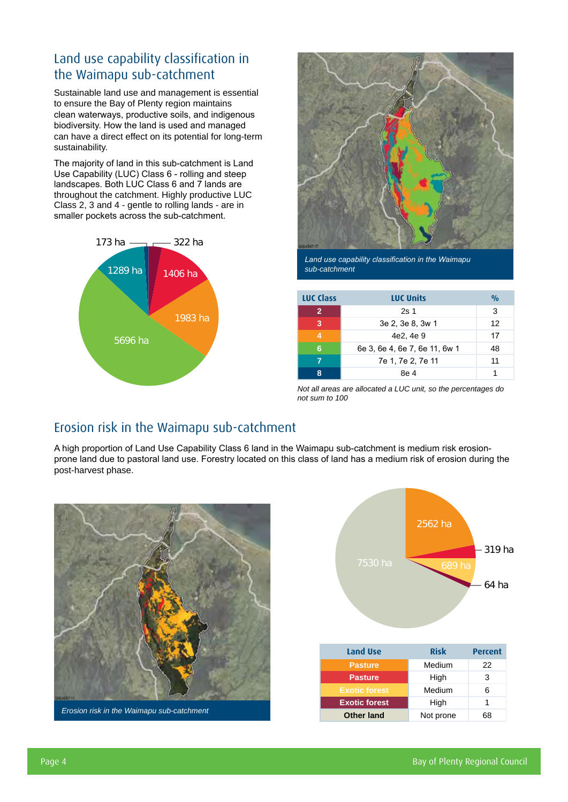## Land use capability classification in the Waimapu sub-catchment

Sustainable land use and management is essential to ensure the Bay of Plenty region maintains clean waterways, productive soils, and indigenous biodiversity. How the land is used and managed can have a direct effect on its potential for long-term sustainability.

The majority of land in this sub-catchment is Land Use Capability (LUC) Class 6 - rolling and steep landscapes. Both LUC Class 6 and 7 lands are throughout the catchment. Highly productive LUC Class 2, 3 and 4 - gentle to rolling lands - are in smaller pockets across the sub-catchment.





*Land use capability classification in the Waimapu sub-catchment*

| <b>LUC Class</b> | <b>LUC Units</b>              | $\frac{0}{0}$ |
|------------------|-------------------------------|---------------|
| $\mathbf{2}$     | 2s <sub>1</sub>               | 3             |
| 3                | 3e 2, 3e 8, 3w 1              | 12            |
|                  | 4e2, 4e 9                     | 17            |
| 6                | 6e 3, 6e 4, 6e 7, 6e 11, 6w 1 | 48            |
|                  | 7e 1, 7e 2, 7e 11             | 11            |
| 8                | 8e 4                          |               |

*Not all areas are allocated a LUC unit, so the percentages do not sum to 100*

## Erosion risk in the Waimapu sub-catchment

A high proportion of Land Use Capability Class 6 land in the Waimapu sub-catchment is medium risk erosionprone land due to pastoral land use. Forestry located on this class of land has a medium risk of erosion during the post-harvest phase.



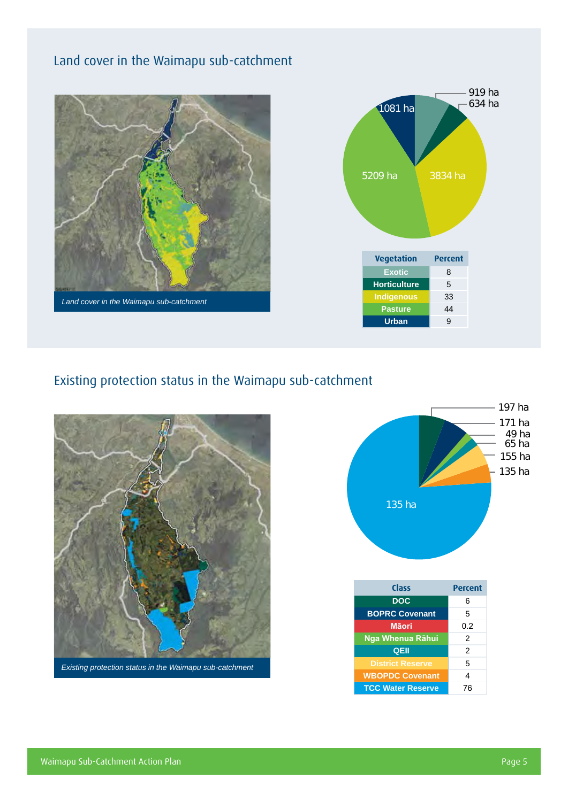## Land cover in the Waimapu sub-catchment





### Existing protection status in the Waimapu sub-catchment





| Class                    | <b>Percent</b> |
|--------------------------|----------------|
| <b>DOC</b>               | 6              |
| <b>BOPRC Covenant</b>    | 5              |
| Māori                    | 0.2            |
| Nga Whenua Rāhui         | 2              |
| QEII                     | $\mathfrak{p}$ |
| <b>District Reserve</b>  | 5              |
| <b>WBOPDC Covenant</b>   | 4              |
| <b>TCC Water Reserve</b> | 76             |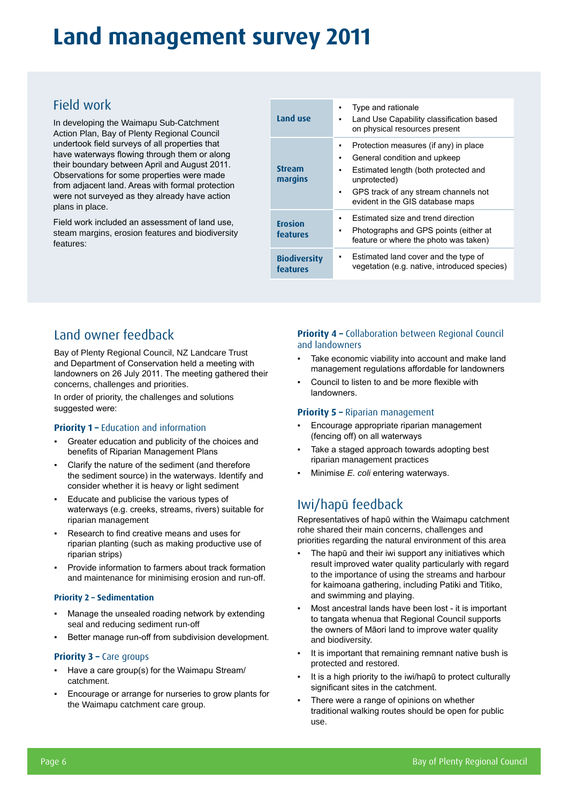## **Land management survey 2011**

## Field work

In developing the Waimapu Sub-Catchment Action Plan, Bay of Plenty Regional Council undertook field surveys of all properties that have waterways flowing through them or along their boundary between April and August 2011. Observations for some properties were made from adjacent land. Areas with formal protection were not surveyed as they already have action plans in place.

Field work included an assessment of land use, steam margins, erosion features and biodiversity features:

| Land use                        | Type and rationale<br>٠<br>Land Use Capability classification based<br>$\blacksquare$<br>on physical resources present                                                                                                                     |
|---------------------------------|--------------------------------------------------------------------------------------------------------------------------------------------------------------------------------------------------------------------------------------------|
| <b>Stream</b><br>margins        | Protection measures (if any) in place<br>$\blacksquare$<br>General condition and upkeep<br>٠<br>Estimated length (both protected and<br>٠<br>unprotected)<br>GPS track of any stream channels not<br>٠<br>evident in the GIS database maps |
| <b>Erosion</b><br>features      | Estimated size and trend direction<br>Photographs and GPS points (either at<br>٠<br>feature or where the photo was taken)                                                                                                                  |
| <b>Biodiversity</b><br>features | Estimated land cover and the type of<br>٠<br>vegetation (e.g. native, introduced species)                                                                                                                                                  |

## Land owner feedback

Bay of Plenty Regional Council, NZ Landcare Trust and Department of Conservation held a meeting with landowners on 26 July 2011. The meeting gathered their concerns, challenges and priorities.

In order of priority, the challenges and solutions suggested were:

#### **Priority 1 - Education and information**

- Greater education and publicity of the choices and benefits of Riparian Management Plans
- Clarify the nature of the sediment (and therefore the sediment source) in the waterways. Identify and consider whether it is heavy or light sediment
- Educate and publicise the various types of waterways (e.g. creeks, streams, rivers) suitable for riparian management
- Research to find creative means and uses for riparian planting (such as making productive use of riparian strips)
- Provide information to farmers about track formation and maintenance for minimising erosion and run-off.

#### **Priority 2 – Sedimentation**

- Manage the unsealed roading network by extending seal and reducing sediment run-off
- Better manage run-off from subdivision development.

#### **Priority 3 – Care groups**

- Have a care group(s) for the Waimapu Stream/ catchment.
- Encourage or arrange for nurseries to grow plants for the Waimapu catchment care group.

#### **Priority 4 –** Collaboration between Regional Council and landowners

- Take economic viability into account and make land management regulations affordable for landowners
- Council to listen to and be more flexible with landowners.

#### **Priority 5 –** Riparian management

- Encourage appropriate riparian management (fencing off) on all waterways
- Take a staged approach towards adopting best riparian management practices
- Minimise *E. coli* entering waterways.

## Iwi/hapū feedback

Representatives of hapū within the Waimapu catchment rohe shared their main concerns, challenges and priorities regarding the natural environment of this area

- The hapū and their iwi support any initiatives which result improved water quality particularly with regard to the importance of using the streams and harbour for kaimoana gathering, including Patiki and Titiko, and swimming and playing.
- Most ancestral lands have been lost it is important to tangata whenua that Regional Council supports the owners of Māori land to improve water quality and biodiversity.
- It is important that remaining remnant native bush is protected and restored.
- It is a high priority to the iwi/hapū to protect culturally significant sites in the catchment.
- There were a range of opinions on whether traditional walking routes should be open for public use.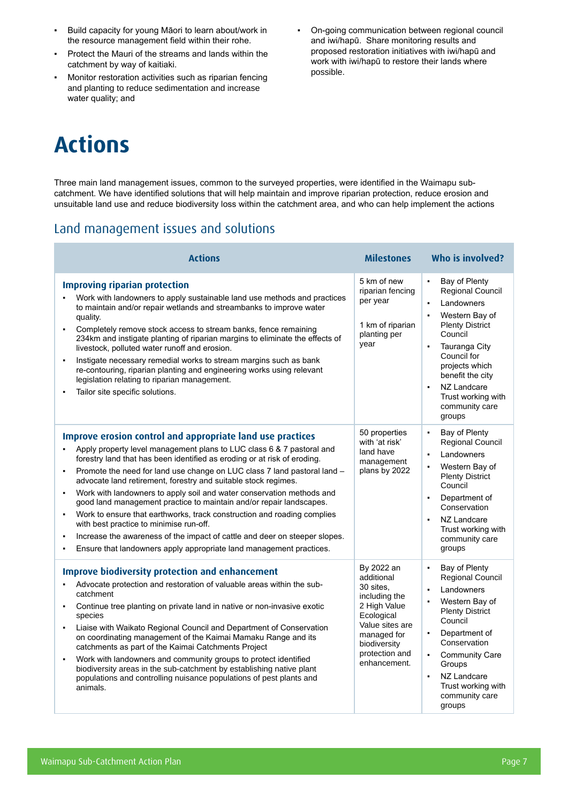- Build capacity for young Māori to learn about/work in the resource management field within their rohe.
- Protect the Mauri of the streams and lands within the catchment by way of kaitiaki.
- Monitor restoration activities such as riparian fencing and planting to reduce sedimentation and increase water quality; and
- On-going communication between regional council and iwi/hapū. Share monitoring results and proposed restoration initiatives with iwi/hapū and work with iwi/hapū to restore their lands where possible.

# **Actions**

Three main land management issues, common to the surveyed properties, were identified in the Waimapu subcatchment. We have identified solutions that will help maintain and improve riparian protection, reduce erosion and unsuitable land use and reduce biodiversity loss within the catchment area, and who can help implement the actions

### Land management issues and solutions

| <b>Actions</b>                                                                                                                                                                                                                                                                                                                                                                                                                                                                                                                                                                                                                                                                                                                                                                                                                                                                                       | <b>Milestones</b>                                                                                                                                                        | Who is involved?                                                                                                                                                                                                                                                                                         |
|------------------------------------------------------------------------------------------------------------------------------------------------------------------------------------------------------------------------------------------------------------------------------------------------------------------------------------------------------------------------------------------------------------------------------------------------------------------------------------------------------------------------------------------------------------------------------------------------------------------------------------------------------------------------------------------------------------------------------------------------------------------------------------------------------------------------------------------------------------------------------------------------------|--------------------------------------------------------------------------------------------------------------------------------------------------------------------------|----------------------------------------------------------------------------------------------------------------------------------------------------------------------------------------------------------------------------------------------------------------------------------------------------------|
| <b>Improving riparian protection</b><br>Work with landowners to apply sustainable land use methods and practices<br>to maintain and/or repair wetlands and streambanks to improve water<br>quality.<br>Completely remove stock access to stream banks, fence remaining<br>$\blacksquare$<br>234km and instigate planting of riparian margins to eliminate the effects of<br>livestock, polluted water runoff and erosion.<br>Instigate necessary remedial works to stream margins such as bank<br>$\blacksquare$<br>re-contouring, riparian planting and engineering works using relevant<br>legislation relating to riparian management.<br>Tailor site specific solutions.<br>$\blacksquare$                                                                                                                                                                                                       | 5 km of new<br>riparian fencing<br>per year<br>1 km of riparian<br>planting per<br>year                                                                                  | $\blacksquare$<br>Bay of Plenty<br>Regional Council<br>Landowners<br>Western Bay of<br><b>Plenty District</b><br>Council<br>Tauranga City<br>$\blacksquare$<br>Council for<br>projects which<br>benefit the city<br>NZ Landcare<br>$\blacksquare$<br>Trust working with<br>community care<br>groups      |
| Improve erosion control and appropriate land use practices<br>Apply property level management plans to LUC class 6 & 7 pastoral and<br>$\blacksquare$<br>forestry land that has been identified as eroding or at risk of eroding.<br>Promote the need for land use change on LUC class 7 land pastoral land -<br>$\blacksquare$<br>advocate land retirement, forestry and suitable stock regimes.<br>Work with landowners to apply soil and water conservation methods and<br>$\blacksquare$<br>good land management practice to maintain and/or repair landscapes.<br>Work to ensure that earthworks, track construction and roading complies<br>$\blacksquare$<br>with best practice to minimise run-off.<br>Increase the awareness of the impact of cattle and deer on steeper slopes.<br>$\blacksquare$<br>Ensure that landowners apply appropriate land management practices.<br>$\blacksquare$ | 50 properties<br>with 'at risk'<br>land have<br>management<br>plans by 2022                                                                                              | Bay of Plenty<br>$\blacksquare$<br><b>Regional Council</b><br>Landowners<br>$\blacksquare$<br>Western Bay of<br>$\blacksquare$<br><b>Plenty District</b><br>Council<br>Department of<br>$\blacksquare$<br>Conservation<br>NZ Landcare<br>Trust working with<br>community care<br>groups                  |
| <b>Improve biodiversity protection and enhancement</b><br>Advocate protection and restoration of valuable areas within the sub-<br>$\blacksquare$<br>catchment<br>Continue tree planting on private land in native or non-invasive exotic<br>$\blacksquare$<br>species<br>Liaise with Waikato Regional Council and Department of Conservation<br>$\blacksquare$<br>on coordinating management of the Kaimai Mamaku Range and its<br>catchments as part of the Kaimai Catchments Project<br>Work with landowners and community groups to protect identified<br>$\blacksquare$<br>biodiversity areas in the sub-catchment by establishing native plant<br>populations and controlling nuisance populations of pest plants and<br>animals.                                                                                                                                                              | By 2022 an<br>additional<br>30 sites.<br>including the<br>2 High Value<br>Ecological<br>Value sites are<br>managed for<br>biodiversity<br>protection and<br>enhancement. | Bay of Plenty<br><b>Regional Council</b><br>Landowners<br>$\blacksquare$<br>Western Bay of<br><b>Plenty District</b><br>Council<br>Department of<br>$\blacksquare$<br>Conservation<br><b>Community Care</b><br>Groups<br>NZ Landcare<br>$\blacksquare$<br>Trust working with<br>community care<br>groups |